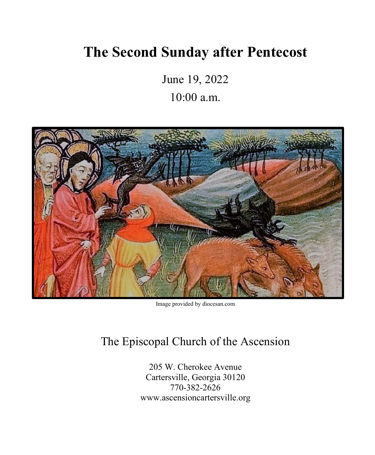# **The Second Sunday after Pentecost**

June 19, 2022 10:00 a.m.



Image provided by diocesan.com

# The Episcopal Church of the Ascension

205 W. Cherokee Avenue Cartersville, Georgia 30120 770-382-2626 www.ascensioncartersville.org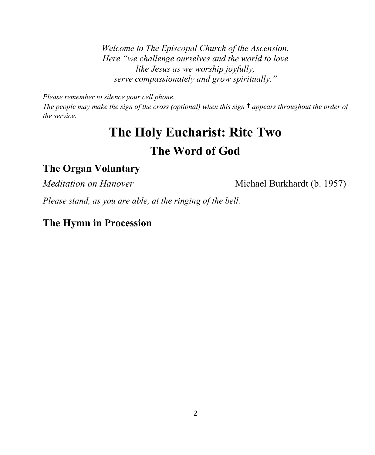*Welcome to The Episcopal Church of the Ascension. Here "we challenge ourselves and the world to love like Jesus as we worship joyfully, serve compassionately and grow spiritually."*

*Please remember to silence your cell phone.*

*The people may make the sign of the cross (optional) when this sign* † *appears throughout the order of the service.*

# **The Holy Eucharist: Rite Two The Word of God**

#### **The Organ Voluntary**

*Meditation on Hanover* Michael Burkhardt (b. 1957)

*Please stand, as you are able, at the ringing of the bell.* 

#### **The Hymn in Procession**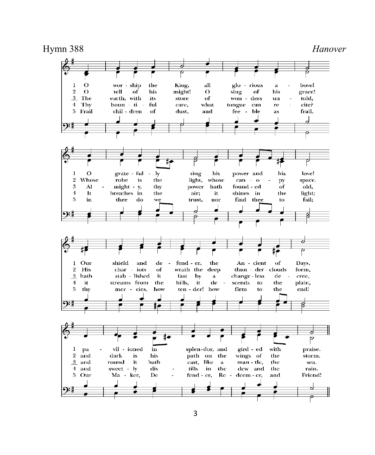Hymn 388 *Hanover* $\overline{O}$  $\mathbf{1}$ wor - ship the King, all glo - rious bove!  $\mathbf{a}$  $\overline{2}$  $\Omega$ tell  $\overline{\text{of}}$ his might!  $\Omega$ sing  $_{\mathrm{of}}$ his grace!  $3$  The earth, with its store of won - ders  $\overline{\mathbf{u}}$ told,  $4$  Thv boun - ti ful care. what tongue can cite?  $re$ 5 Frail chil - dren of dust, and fee - ble frail, as J  $\mathbf{I}$  $\Omega$ grate - ful  $\overline{\phantom{a}}$ ly sing his power and his love! the  $\,2\,$ Whose robe is light, whose  $can - o$ space. py 3  $\mathbf{A}$ might - y, thy power hath found - ed of old,  $\overline{A}$  $\mathbf{I}\mathbf{t}$ breathes in the air; shines in the light; it  $\overline{5}$ in thee do trust, find thee fail; we nor to  $\overline{c}$ Our  $\mathbf{l}$ shield and  $_{\rm de}$ - 2 fend - er, the An - cient of Days,  $\overline{2}$ His char - iots wrath the thun - der - clouds of deep form, stab - lished  $3$  hath it fast  $-<sub>by</sub>$  $\mathbf{a}$ change - less  $_{\rm de}$ cree,  $\overline{4}$ hills, it scends plain, it. streams from the  $de$  $\sim$ to the 5 thy mer - cies, how ten - der! how firm to the endi P gird - ed praise. vil - ioned  $\overline{\mathbf{m}}$ splen-dor, and with  $\bf{l}$ pa  $2 \quad \text{and}$ dark is his path on the wings of the storm.  $3$  and round it hath cast, like man - tle, the sea. a 4 and sweet - ly dis tills  $-$ in the dew and the rain. 5 Our Ma - ker,  ${\bf Dc}$ fend - er, Re - deem - er, and Friend!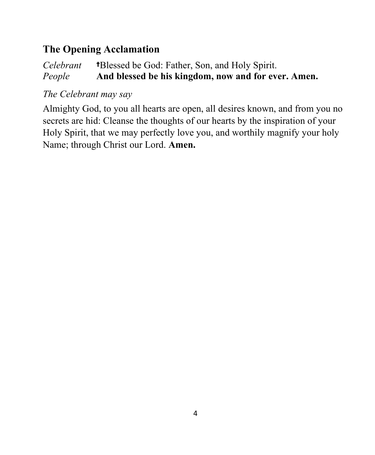# **The Opening Acclamation**

#### *Celebrant* †Blessed be God: Father, Son, and Holy Spirit. *People* **And blessed be his kingdom, now and for ever. Amen.**

#### *The Celebrant may say*

Almighty God, to you all hearts are open, all desires known, and from you no secrets are hid: Cleanse the thoughts of our hearts by the inspiration of your Holy Spirit, that we may perfectly love you, and worthily magnify your holy Name; through Christ our Lord. **Amen.**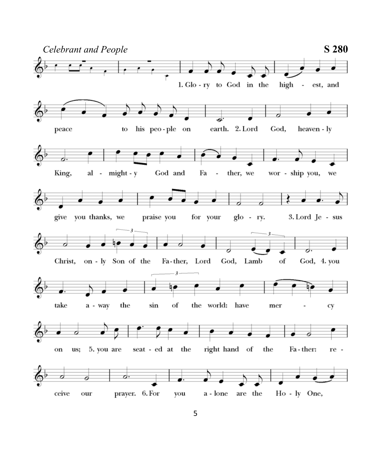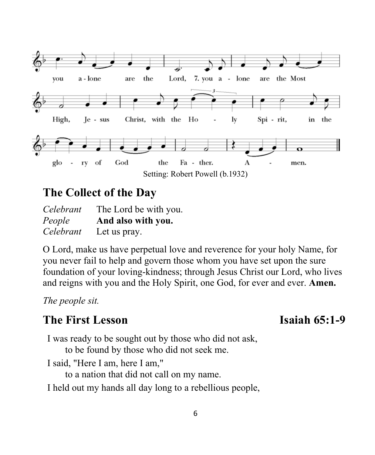

# **The Collect of the Day**

*Celebrant* The Lord be with you. *People* **And also with you.** *Celebrant* Let us pray.

O Lord, make us have perpetual love and reverence for your holy Name, for you never fail to help and govern those whom you have set upon the sure foundation of your loving-kindness; through Jesus Christ our Lord, who lives and reigns with you and the Holy Spirit, one God, for ever and ever. **Amen.**

*The people sit.*

# **The First Lesson** Isaiah 65:1-9

I was ready to be sought out by those who did not ask, to be found by those who did not seek me.

I said, "Here I am, here I am,"

to a nation that did not call on my name.

I held out my hands all day long to a rebellious people,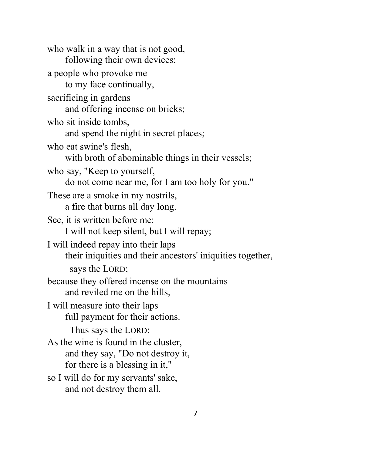who walk in a way that is not good, following their own devices; a people who provoke me to my face continually, sacrificing in gardens and offering incense on bricks; who sit inside tombs, and spend the night in secret places; who eat swine's flesh, with broth of abominable things in their vessels; who say, "Keep to yourself, do not come near me, for I am too holy for you." These are a smoke in my nostrils, a fire that burns all day long. See, it is written before me: I will not keep silent, but I will repay; I will indeed repay into their laps their iniquities and their ancestors' iniquities together, says the LORD; because they offered incense on the mountains and reviled me on the hills, I will measure into their laps full payment for their actions. Thus says the LORD: As the wine is found in the cluster, and they say, "Do not destroy it, for there is a blessing in it," so I will do for my servants' sake, and not destroy them all.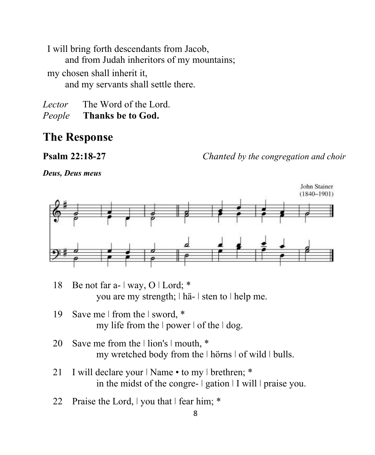I will bring forth descendants from Jacob, and from Judah inheritors of my mountains; my chosen shall inherit it, and my servants shall settle there.

*Lector* The Word of the Lord. *People* **Thanks be to God.**

### **The Response**

**Psalm 22:18-27** *Chanted by the congregation and choir*

*Deus, Deus meus*



- 18 Be not far a-  $\vert$  way, O  $\vert$  Lord; \* you are my strength; ǀ hä- ǀ sten to ǀ help me.
- 19 Save me | from the | sword, \* my life from the  $|$  power  $|$  of the  $|$  dog.
- 20 Save me from the  $\vert$  lion's  $\vert$  mouth, \* my wretched body from the  $|$  hörns  $|$  of wild  $|$  bulls.
- 21 I will declare your | Name to my | brethren; \* in the midst of the congre-  $\vert$  gation  $\vert$  I will  $\vert$  praise you.
- 22 Praise the Lord,  $\vert$  you that  $\vert$  fear him; \*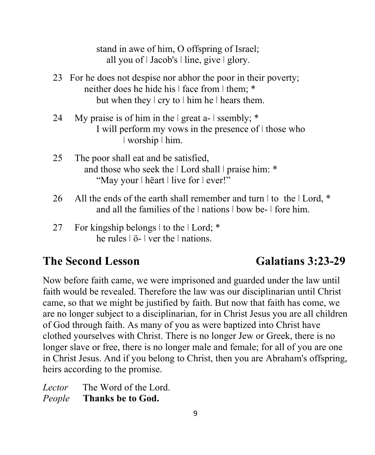stand in awe of him, O offspring of Israel; all you of  $|$  Jacob's  $|$  line, give  $|$  glory.

- 23 For he does not despise nor abhor the poor in their poverty; neither does he hide his  $\vert$  face from  $\vert$  them; \* but when they  $\vert$  cry to  $\vert$  him he  $\vert$  hears them.
- 24 My praise is of him in the  $|$  great a-  $|$  ssembly;  $*$ I will perform my vows in the presence of  $\vert$  those who ǀ worship ǀ him.
- 25 The poor shall eat and be satisfied, and those who seek the  $|$  Lord shall  $|$  praise him: \* "May your | hëart | live for | ever!"
- 26 All the ends of the earth shall remember and turn  $\vert$  to the  $\vert$  Lord, \* and all the families of the  $|$  nations  $|$  bow be-  $|$  fore him.
- 27 For kingship belongs  $\vert$  to the  $\vert$  Lord: \* he rules  $\vert \ddot{o} \vert$  ver the  $\vert$  nations.

## **The Second Lesson** Galatians 3:23-29

Now before faith came, we were imprisoned and guarded under the law until faith would be revealed. Therefore the law was our disciplinarian until Christ came, so that we might be justified by faith. But now that faith has come, we are no longer subject to a disciplinarian, for in Christ Jesus you are all children of God through faith. As many of you as were baptized into Christ have clothed yourselves with Christ. There is no longer Jew or Greek, there is no longer slave or free, there is no longer male and female; for all of you are one in Christ Jesus. And if you belong to Christ, then you are Abraham's offspring, heirs according to the promise.

*Lector* The Word of the Lord. *People* **Thanks be to God.**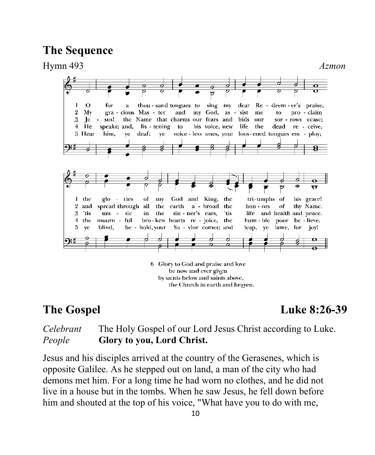### **The Sequence**



by saints below and saints above, the Church in earth and heaven.

**The Gospel Luke 8:26-39**

#### *Celebrant* The Holy Gospel of our Lord Jesus Christ according to Luke. *People* **Glory to you, Lord Christ.**

Jesus and his disciples arrived at the country of the Gerasenes, which is opposite Galilee. As he stepped out on land, a man of the city who had demons met him. For a long time he had worn no clothes, and he did not live in a house but in the tombs. When he saw Jesus, he fell down before him and shouted at the top of his voice, "What have you to do with me,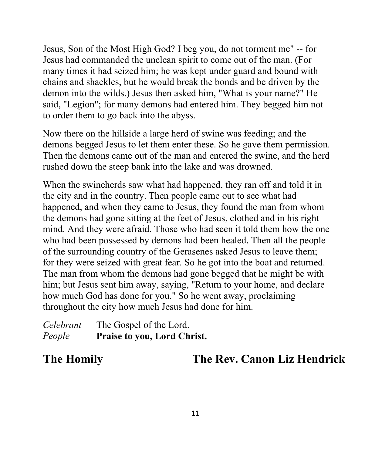Jesus, Son of the Most High God? I beg you, do not torment me" -- for Jesus had commanded the unclean spirit to come out of the man. (For many times it had seized him; he was kept under guard and bound with chains and shackles, but he would break the bonds and be driven by the demon into the wilds.) Jesus then asked him, "What is your name?" He said, "Legion"; for many demons had entered him. They begged him not to order them to go back into the abyss.

Now there on the hillside a large herd of swine was feeding; and the demons begged Jesus to let them enter these. So he gave them permission. Then the demons came out of the man and entered the swine, and the herd rushed down the steep bank into the lake and was drowned.

When the swineherds saw what had happened, they ran off and told it in the city and in the country. Then people came out to see what had happened, and when they came to Jesus, they found the man from whom the demons had gone sitting at the feet of Jesus, clothed and in his right mind. And they were afraid. Those who had seen it told them how the one who had been possessed by demons had been healed. Then all the people of the surrounding country of the Gerasenes asked Jesus to leave them; for they were seized with great fear. So he got into the boat and returned. The man from whom the demons had gone begged that he might be with him; but Jesus sent him away, saying, "Return to your home, and declare how much God has done for you." So he went away, proclaiming throughout the city how much Jesus had done for him.

*Celebrant* The Gospel of the Lord. *People* **Praise to you, Lord Christ.**

**The Homily The Rev. Canon Liz Hendrick**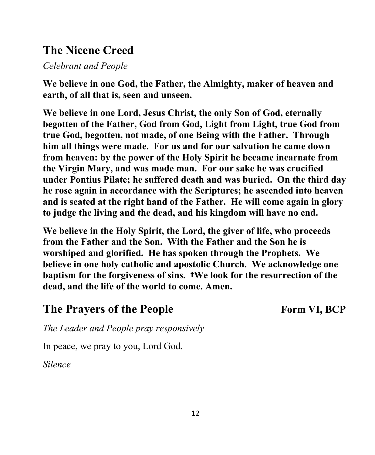# **The Nicene Creed**

*Celebrant and People*

**We believe in one God, the Father, the Almighty, maker of heaven and earth, of all that is, seen and unseen.** 

**We believe in one Lord, Jesus Christ, the only Son of God, eternally begotten of the Father, God from God, Light from Light, true God from true God, begotten, not made, of one Being with the Father. Through him all things were made. For us and for our salvation he came down from heaven: by the power of the Holy Spirit he became incarnate from the Virgin Mary, and was made man. For our sake he was crucified under Pontius Pilate; he suffered death and was buried. On the third day he rose again in accordance with the Scriptures; he ascended into heaven and is seated at the right hand of the Father. He will come again in glory to judge the living and the dead, and his kingdom will have no end.** 

**We believe in the Holy Spirit, the Lord, the giver of life, who proceeds from the Father and the Son. With the Father and the Son he is worshiped and glorified. He has spoken through the Prophets. We believe in one holy catholic and apostolic Church. We acknowledge one baptism for the forgiveness of sins.** †**We look for the resurrection of the dead, and the life of the world to come. Amen.**

# The Prayers of the People Form VI, BCP

*The Leader and People pray responsively*

In peace, we pray to you, Lord God.

*Silence*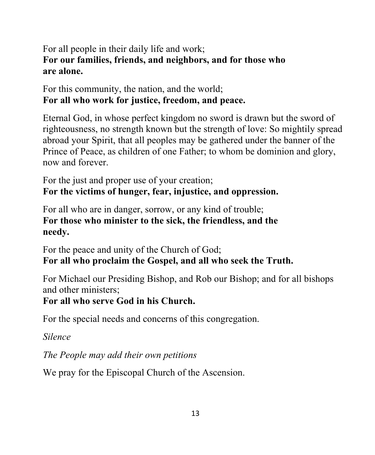### For all people in their daily life and work; **For our families, friends, and neighbors, and for those who are alone.**

### For this community, the nation, and the world; **For all who work for justice, freedom, and peace.**

Eternal God, in whose perfect kingdom no sword is drawn but the sword of righteousness, no strength known but the strength of love: So mightily spread abroad your Spirit, that all peoples may be gathered under the banner of the Prince of Peace, as children of one Father; to whom be dominion and glory, now and forever.

For the just and proper use of your creation; **For the victims of hunger, fear, injustice, and oppression.**

For all who are in danger, sorrow, or any kind of trouble; **For those who minister to the sick, the friendless, and the needy.**

For the peace and unity of the Church of God; **For all who proclaim the Gospel, and all who seek the Truth.**

For Michael our Presiding Bishop, and Rob our Bishop; and for all bishops and other ministers;

### **For all who serve God in his Church.**

For the special needs and concerns of this congregation.

*Silence*

*The People may add their own petitions*

We pray for the Episcopal Church of the Ascension.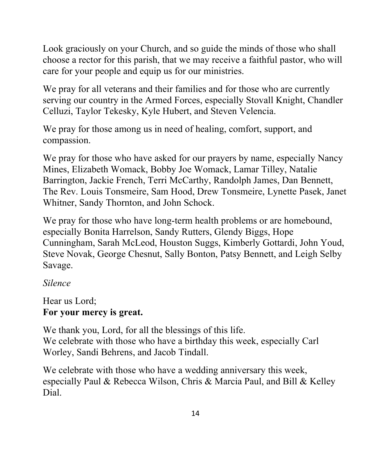Look graciously on your Church, and so guide the minds of those who shall choose a rector for this parish, that we may receive a faithful pastor, who will care for your people and equip us for our ministries.

We pray for all veterans and their families and for those who are currently serving our country in the Armed Forces, especially Stovall Knight, Chandler Celluzi, Taylor Tekesky, Kyle Hubert, and Steven Velencia.

We pray for those among us in need of healing, comfort, support, and compassion.

We pray for those who have asked for our prayers by name, especially Nancy Mines, Elizabeth Womack, Bobby Joe Womack, Lamar Tilley, Natalie Barrington, Jackie French, Terri McCarthy, Randolph James, Dan Bennett, The Rev. Louis Tonsmeire, Sam Hood, Drew Tonsmeire, Lynette Pasek, Janet Whitner, Sandy Thornton, and John Schock.

We pray for those who have long-term health problems or are homebound, especially Bonita Harrelson, Sandy Rutters, Glendy Biggs, Hope Cunningham, Sarah McLeod, Houston Suggs, Kimberly Gottardi, John Youd, Steve Novak, George Chesnut, Sally Bonton, Patsy Bennett, and Leigh Selby Savage.

### *Silence*

#### Hear us Lord; **For your mercy is great.**

We thank you, Lord, for all the blessings of this life. We celebrate with those who have a birthday this week, especially Carl Worley, Sandi Behrens, and Jacob Tindall.

We celebrate with those who have a wedding anniversary this week, especially Paul & Rebecca Wilson, Chris & Marcia Paul, and Bill & Kelley Dial.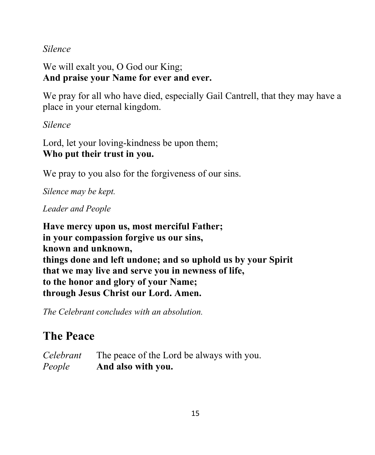*Silence*

We will exalt you, O God our King; **And praise your Name for ever and ever.**

We pray for all who have died, especially Gail Cantrell, that they may have a place in your eternal kingdom.

*Silence*

Lord, let your loving-kindness be upon them; **Who put their trust in you.**

We pray to you also for the forgiveness of our sins.

*Silence may be kept.*

*Leader and People*

**Have mercy upon us, most merciful Father; in your compassion forgive us our sins, known and unknown, things done and left undone; and so uphold us by your Spirit that we may live and serve you in newness of life, to the honor and glory of your Name; through Jesus Christ our Lord. Amen.**

*The Celebrant concludes with an absolution.*

# **The Peace**

*Celebrant* The peace of the Lord be always with you. *People* **And also with you.**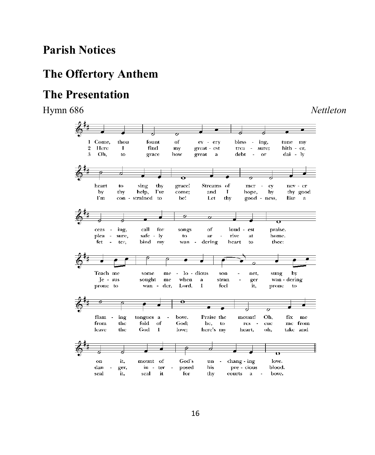# **Parish Notices**

# **The Offertory Anthem**

# **The Presentation**

Hymn 686 *Nettleton*

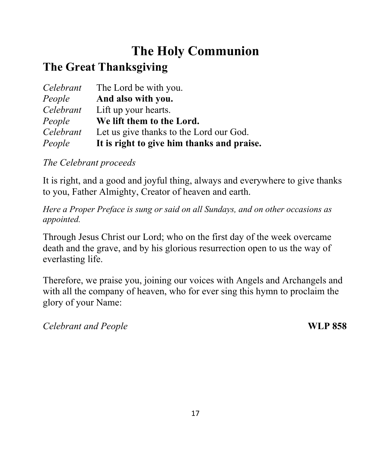# **The Holy Communion**

# **The Great Thanksgiving**

|           | <i>Celebrant</i> The Lord be with you.     |
|-----------|--------------------------------------------|
| People    | And also with you.                         |
| Celebrant | Lift up your hearts.                       |
| People    | We lift them to the Lord.                  |
| Celebrant | Let us give thanks to the Lord our God.    |
| People    | It is right to give him thanks and praise. |

### *The Celebrant proceeds*

It is right, and a good and joyful thing, always and everywhere to give thanks to you, Father Almighty, Creator of heaven and earth.

*Here a Proper Preface is sung or said on all Sundays, and on other occasions as appointed.*

Through Jesus Christ our Lord; who on the first day of the week overcame death and the grave, and by his glorious resurrection open to us the way of everlasting life.

Therefore, we praise you, joining our voices with Angels and Archangels and with all the company of heaven, who for ever sing this hymn to proclaim the glory of your Name:

*Celebrant and People* **WLP 858**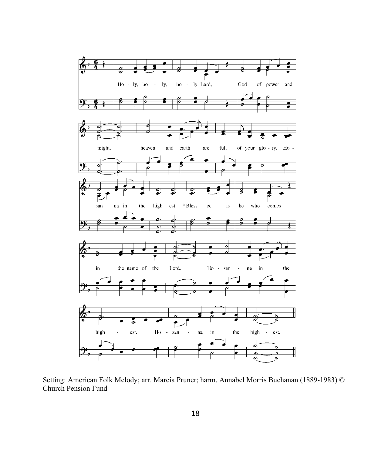

Setting: American Folk Melody; arr. Marcia Pruner; harm. Annabel Morris Buchanan (1889-1983) © Church Pension Fund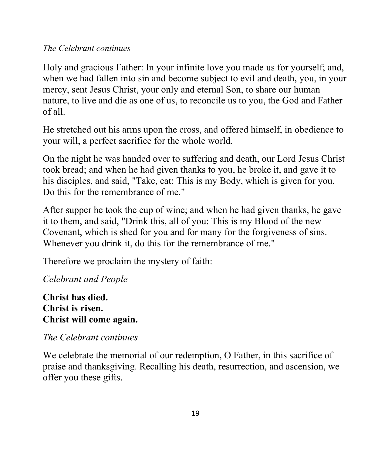#### *The Celebrant continues*

Holy and gracious Father: In your infinite love you made us for yourself; and, when we had fallen into sin and become subject to evil and death, you, in your mercy, sent Jesus Christ, your only and eternal Son, to share our human nature, to live and die as one of us, to reconcile us to you, the God and Father of all.

He stretched out his arms upon the cross, and offered himself, in obedience to your will, a perfect sacrifice for the whole world.

On the night he was handed over to suffering and death, our Lord Jesus Christ took bread; and when he had given thanks to you, he broke it, and gave it to his disciples, and said, "Take, eat: This is my Body, which is given for you. Do this for the remembrance of me."

After supper he took the cup of wine; and when he had given thanks, he gave it to them, and said, "Drink this, all of you: This is my Blood of the new Covenant, which is shed for you and for many for the forgiveness of sins. Whenever you drink it, do this for the remembrance of me."

Therefore we proclaim the mystery of faith:

*Celebrant and People*

#### **Christ has died. Christ is risen. Christ will come again.**

### *The Celebrant continues*

We celebrate the memorial of our redemption, O Father, in this sacrifice of praise and thanksgiving. Recalling his death, resurrection, and ascension, we offer you these gifts.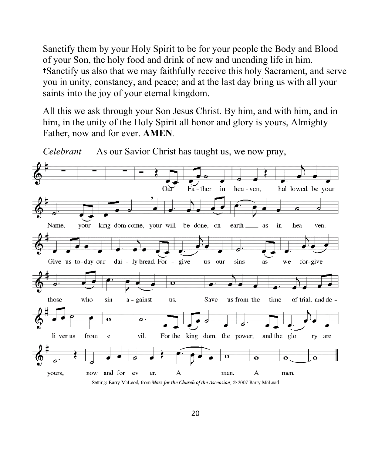Sanctify them by your Holy Spirit to be for your people the Body and Blood of your Son, the holy food and drink of new and unending life in him. †Sanctify us also that we may faithfully receive this holy Sacrament, and serve you in unity, constancy, and peace; and at the last day bring us with all your saints into the joy of your eternal kingdom.

All this we ask through your Son Jesus Christ. By him, and with him, and in him, in the unity of the Holy Spirit all honor and glory is yours, Almighty Father, now and for ever. **AMEN***.*



*Celebrant* As our Savior Christ has taught us, we now pray,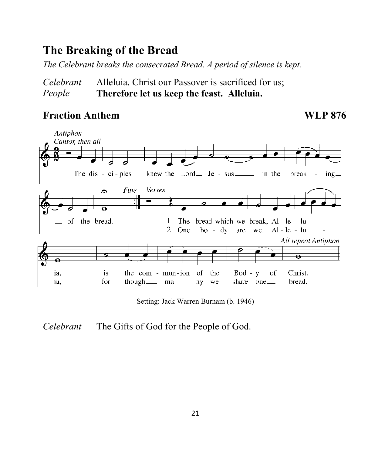# **The Breaking of the Bread**

*The Celebrant breaks the consecrated Bread. A period of silence is kept.*

*Celebrant* Alleluia. Christ our Passover is sacrificed for us; *People* **Therefore let us keep the feast. Alleluia.**

## Fraction Anthem WLP 876



Setting: Jack Warren Burnam (b. 1946)

*Celebrant* The Gifts of God for the People of God.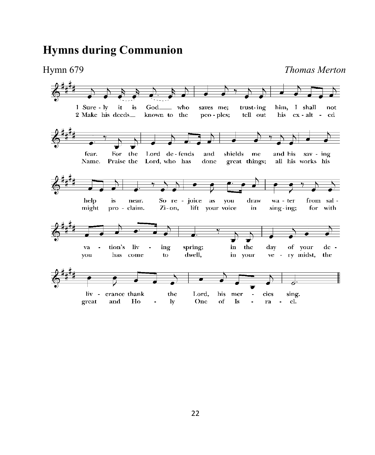# **Hymns during Communion**

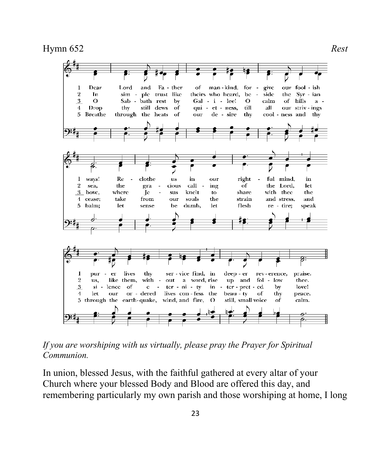Hymn 652 *Rest*



*If you are worshiping with us virtually, please pray the Prayer for Spiritual Communion.*

In union, blessed Jesus, with the faithful gathered at every altar of your Church where your blessed Body and Blood are offered this day, and remembering particularly my own parish and those worshiping at home, I long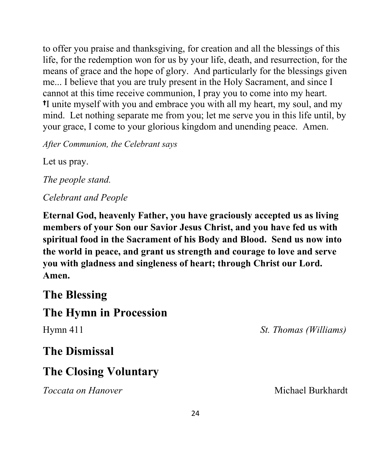to offer you praise and thanksgiving, for creation and all the blessings of this life, for the redemption won for us by your life, death, and resurrection, for the means of grace and the hope of glory. And particularly for the blessings given me... I believe that you are truly present in the Holy Sacrament, and since I cannot at this time receive communion, I pray you to come into my heart. †I unite myself with you and embrace you with all my heart, my soul, and my mind. Let nothing separate me from you; let me serve you in this life until, by your grace, I come to your glorious kingdom and unending peace. Amen.

*After Communion, the Celebrant says*

Let us pray.

*The people stand.*

*Celebrant and People*

**Eternal God, heavenly Father, you have graciously accepted us as living members of your Son our Savior Jesus Christ, and you have fed us with spiritual food in the Sacrament of his Body and Blood. Send us now into the world in peace, and grant us strength and courage to love and serve you with gladness and singleness of heart; through Christ our Lord. Amen.**

## **The Blessing**

## **The Hymn in Procession**

Hymn 411 *St. Thomas (Williams)*

## **The Dismissal**

# **The Closing Voluntary**

*Toccata on Hanover* **Michael Burkhardt** Michael Burkhardt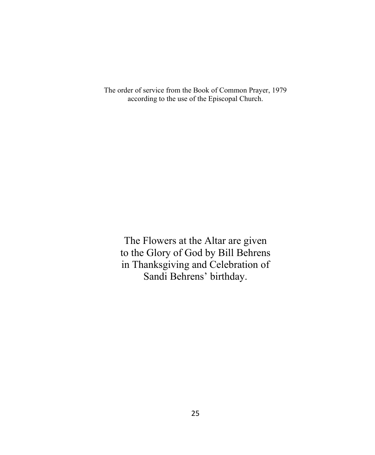The order of service from the Book of Common Prayer, 1979 according to the use of the Episcopal Church.

The Flowers at the Altar are given to the Glory of God by Bill Behrens in Thanksgiving and Celebration of Sandi Behrens' birthday.